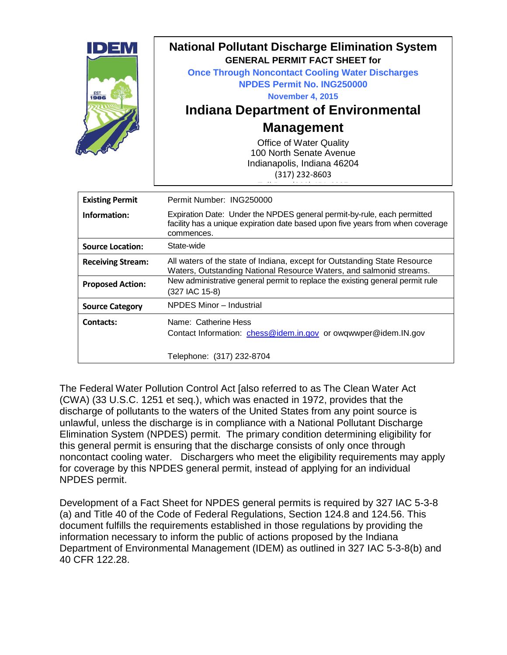| <b>EST</b><br>1986     | <b>National Pollutant Discharge Elimination System</b><br><b>GENERAL PERMIT FACT SHEET for</b><br><b>Once Through Noncontact Cooling Water Discharges</b><br><b>NPDES Permit No. ING250000</b><br><b>November 4, 2015</b><br>Indiana Department of Environmental<br><b>Management</b><br><b>Office of Water Quality</b><br>100 North Senate Avenue<br>Indianapolis, Indiana 46204<br>(317) 232-8603 |
|------------------------|-----------------------------------------------------------------------------------------------------------------------------------------------------------------------------------------------------------------------------------------------------------------------------------------------------------------------------------------------------------------------------------------------------|
| <b>Existing Permit</b> | Permit Number: ING250000                                                                                                                                                                                                                                                                                                                                                                            |
| Information:           | Expiration Date: Under the NPDES general permit-by-rule, each permitted<br>facility has a unique expiration date based upon five years from when coverage                                                                                                                                                                                                                                           |

| Information:             | Expiration Date: Under the NPDES general permit-by-rule, each permitted<br>facility has a unique expiration date based upon five years from when coverage<br>commences. |  |  |  |  |
|--------------------------|-------------------------------------------------------------------------------------------------------------------------------------------------------------------------|--|--|--|--|
| <b>Source Location:</b>  | State-wide                                                                                                                                                              |  |  |  |  |
| <b>Receiving Stream:</b> | All waters of the state of Indiana, except for Outstanding State Resource<br>Waters, Outstanding National Resource Waters, and salmonid streams.                        |  |  |  |  |
| <b>Proposed Action:</b>  | New administrative general permit to replace the existing general permit rule<br>(327 IAC 15-8)                                                                         |  |  |  |  |
| <b>Source Category</b>   | NPDES Minor - Industrial                                                                                                                                                |  |  |  |  |
| <b>Contacts:</b>         | Name: Catherine Hess<br>Contact Information: chess@idem.in.gov or owgwwper@idem.IN.gov                                                                                  |  |  |  |  |
|                          | Telephone: (317) 232-8704                                                                                                                                               |  |  |  |  |

The Federal Water Pollution Control Act [also referred to as The Clean Water Act (CWA) (33 U.S.C. 1251 et seq.), which was enacted in 1972, provides that the discharge of pollutants to the waters of the United States from any point source is unlawful, unless the discharge is in compliance with a National Pollutant Discharge Elimination System (NPDES) permit. The primary condition determining eligibility for this general permit is ensuring that the discharge consists of only once through noncontact cooling water. Dischargers who meet the eligibility requirements may apply for coverage by this NPDES general permit, instead of applying for an individual NPDES permit.

Development of a Fact Sheet for NPDES general permits is required by 327 IAC 5-3-8 (a) and Title 40 of the Code of Federal Regulations, Section 124.8 and 124.56. This document fulfills the requirements established in those regulations by providing the information necessary to inform the public of actions proposed by the Indiana Department of Environmental Management (IDEM) as outlined in 327 IAC 5-3-8(b) and 40 CFR 122.28.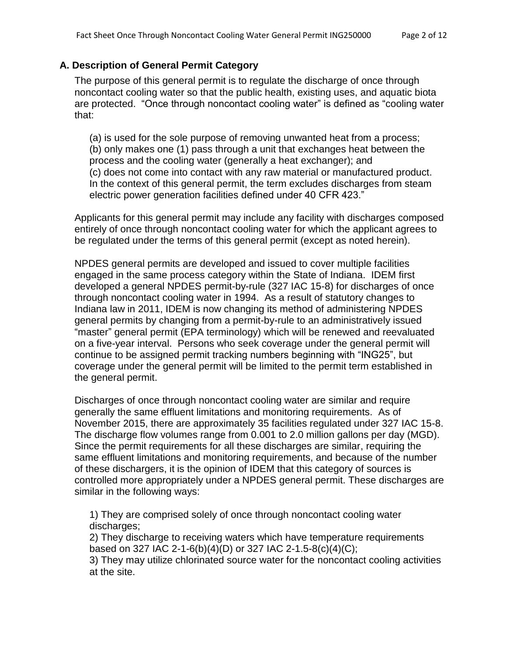#### **A. Description of General Permit Category**

The purpose of this general permit is to regulate the discharge of once through noncontact cooling water so that the public health, existing uses, and aquatic biota are protected. "Once through noncontact cooling water" is defined as "cooling water that:

(a) is used for the sole purpose of removing unwanted heat from a process; (b) only makes one (1) pass through a unit that exchanges heat between the process and the cooling water (generally a heat exchanger); and (c) does not come into contact with any raw material or manufactured product. In the context of this general permit, the term excludes discharges from steam electric power generation facilities defined under 40 CFR 423."

Applicants for this general permit may include any facility with discharges composed entirely of once through noncontact cooling water for which the applicant agrees to be regulated under the terms of this general permit (except as noted herein).

NPDES general permits are developed and issued to cover multiple facilities engaged in the same process category within the State of Indiana. IDEM first developed a general NPDES permit-by-rule (327 IAC 15-8) for discharges of once through noncontact cooling water in 1994. As a result of statutory changes to Indiana law in 2011, IDEM is now changing its method of administering NPDES general permits by changing from a permit-by-rule to an administratively issued "master" general permit (EPA terminology) which will be renewed and reevaluated on a five-year interval. Persons who seek coverage under the general permit will continue to be assigned permit tracking numbers beginning with "ING25", but coverage under the general permit will be limited to the permit term established in the general permit.

Discharges of once through noncontact cooling water are similar and require generally the same effluent limitations and monitoring requirements. As of November 2015, there are approximately 35 facilities regulated under 327 IAC 15-8. The discharge flow volumes range from 0.001 to 2.0 million gallons per day (MGD). Since the permit requirements for all these discharges are similar, requiring the same effluent limitations and monitoring requirements, and because of the number of these dischargers, it is the opinion of IDEM that this category of sources is controlled more appropriately under a NPDES general permit. These discharges are similar in the following ways:

1) They are comprised solely of once through noncontact cooling water discharges;

2) They discharge to receiving waters which have temperature requirements based on 327 IAC 2-1-6(b)(4)(D) or 327 IAC 2-1.5-8(c)(4)(C);

3) They may utilize chlorinated source water for the noncontact cooling activities at the site.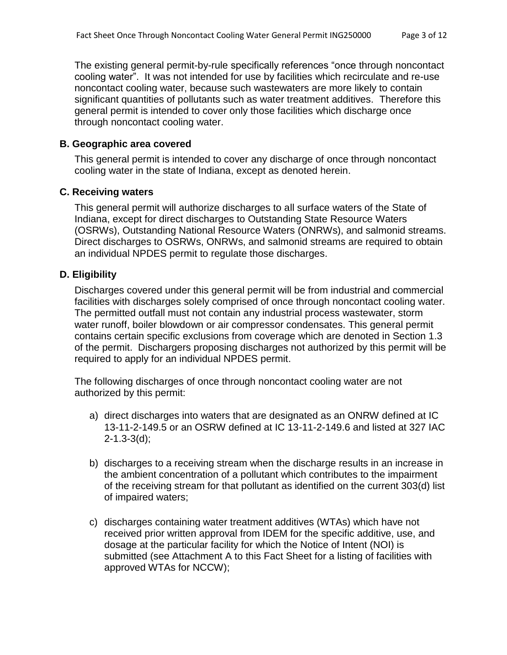The existing general permit-by-rule specifically references "once through noncontact cooling water". It was not intended for use by facilities which recirculate and re-use noncontact cooling water, because such wastewaters are more likely to contain significant quantities of pollutants such as water treatment additives. Therefore this general permit is intended to cover only those facilities which discharge once through noncontact cooling water.

#### **B. Geographic area covered**

This general permit is intended to cover any discharge of once through noncontact cooling water in the state of Indiana, except as denoted herein.

#### **C. Receiving waters**

This general permit will authorize discharges to all surface waters of the State of Indiana, except for direct discharges to Outstanding State Resource Waters (OSRWs), Outstanding National Resource Waters (ONRWs), and salmonid streams. Direct discharges to OSRWs, ONRWs, and salmonid streams are required to obtain an individual NPDES permit to regulate those discharges.

#### **D. Eligibility**

Discharges covered under this general permit will be from industrial and commercial facilities with discharges solely comprised of once through noncontact cooling water. The permitted outfall must not contain any industrial process wastewater, storm water runoff, boiler blowdown or air compressor condensates. This general permit contains certain specific exclusions from coverage which are denoted in Section 1.3 of the permit. Dischargers proposing discharges not authorized by this permit will be required to apply for an individual NPDES permit.

The following discharges of once through noncontact cooling water are not authorized by this permit:

- a) direct discharges into waters that are designated as an ONRW defined at IC 13-11-2-149.5 or an OSRW defined at IC 13-11-2-149.6 and listed at 327 IAC 2-1.3-3(d);
- b) discharges to a receiving stream when the discharge results in an increase in the ambient concentration of a pollutant which contributes to the impairment of the receiving stream for that pollutant as identified on the current 303(d) list of impaired waters;
- c) discharges containing water treatment additives (WTAs) which have not received prior written approval from IDEM for the specific additive, use, and dosage at the particular facility for which the Notice of Intent (NOI) is submitted (see Attachment A to this Fact Sheet for a listing of facilities with approved WTAs for NCCW);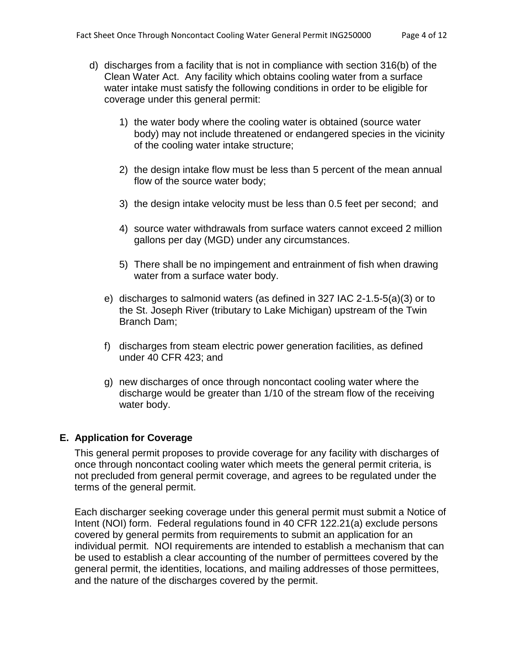- d) discharges from a facility that is not in compliance with section 316(b) of the Clean Water Act. Any facility which obtains cooling water from a surface water intake must satisfy the following conditions in order to be eligible for coverage under this general permit:
	- 1) the water body where the cooling water is obtained (source water body) may not include threatened or endangered species in the vicinity of the cooling water intake structure;
	- 2) the design intake flow must be less than 5 percent of the mean annual flow of the source water body;
	- 3) the design intake velocity must be less than 0.5 feet per second; and
	- 4) source water withdrawals from surface waters cannot exceed 2 million gallons per day (MGD) under any circumstances.
	- 5) There shall be no impingement and entrainment of fish when drawing water from a surface water body.
	- e) discharges to salmonid waters (as defined in 327 IAC 2-1.5-5(a)(3) or to the St. Joseph River (tributary to Lake Michigan) upstream of the Twin Branch Dam;
	- f) discharges from steam electric power generation facilities, as defined under 40 CFR 423; and
	- g) new discharges of once through noncontact cooling water where the discharge would be greater than 1/10 of the stream flow of the receiving water body.

#### **E. Application for Coverage**

This general permit proposes to provide coverage for any facility with discharges of once through noncontact cooling water which meets the general permit criteria, is not precluded from general permit coverage, and agrees to be regulated under the terms of the general permit.

Each discharger seeking coverage under this general permit must submit a Notice of Intent (NOI) form. Federal regulations found in 40 CFR 122.21(a) exclude persons covered by general permits from requirements to submit an application for an individual permit. NOI requirements are intended to establish a mechanism that can be used to establish a clear accounting of the number of permittees covered by the general permit, the identities, locations, and mailing addresses of those permittees, and the nature of the discharges covered by the permit.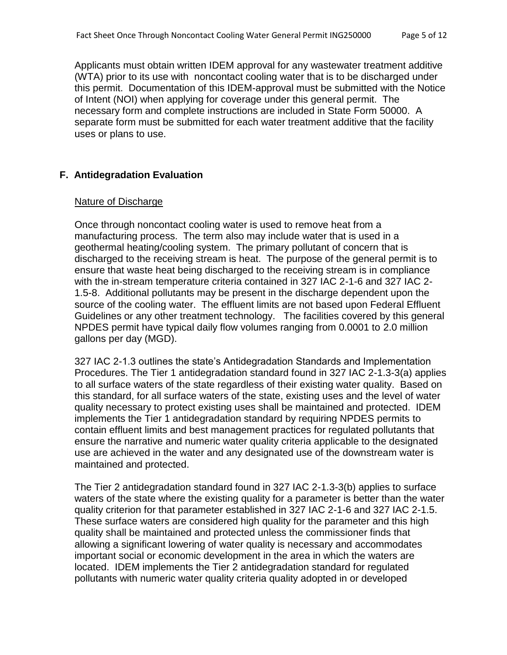Applicants must obtain written IDEM approval for any wastewater treatment additive (WTA) prior to its use with noncontact cooling water that is to be discharged under this permit. Documentation of this IDEM-approval must be submitted with the Notice of Intent (NOI) when applying for coverage under this general permit. The necessary form and complete instructions are included in State Form 50000. A separate form must be submitted for each water treatment additive that the facility uses or plans to use.

### **F. Antidegradation Evaluation**

#### Nature of Discharge

Once through noncontact cooling water is used to remove heat from a manufacturing process. The term also may include water that is used in a geothermal heating/cooling system. The primary pollutant of concern that is discharged to the receiving stream is heat. The purpose of the general permit is to ensure that waste heat being discharged to the receiving stream is in compliance with the in-stream temperature criteria contained in 327 IAC 2-1-6 and 327 IAC 2- 1.5-8. Additional pollutants may be present in the discharge dependent upon the source of the cooling water. The effluent limits are not based upon Federal Effluent Guidelines or any other treatment technology. The facilities covered by this general NPDES permit have typical daily flow volumes ranging from 0.0001 to 2.0 million gallons per day (MGD).

327 IAC 2-1.3 outlines the state's Antidegradation Standards and Implementation Procedures. The Tier 1 antidegradation standard found in 327 IAC 2-1.3-3(a) applies to all surface waters of the state regardless of their existing water quality. Based on this standard, for all surface waters of the state, existing uses and the level of water quality necessary to protect existing uses shall be maintained and protected. IDEM implements the Tier 1 antidegradation standard by requiring NPDES permits to contain effluent limits and best management practices for regulated pollutants that ensure the narrative and numeric water quality criteria applicable to the designated use are achieved in the water and any designated use of the downstream water is maintained and protected.

The Tier 2 antidegradation standard found in 327 IAC 2-1.3-3(b) applies to surface waters of the state where the existing quality for a parameter is better than the water quality criterion for that parameter established in 327 IAC 2-1-6 and 327 IAC 2-1.5. These surface waters are considered high quality for the parameter and this high quality shall be maintained and protected unless the commissioner finds that allowing a significant lowering of water quality is necessary and accommodates important social or economic development in the area in which the waters are located. IDEM implements the Tier 2 antidegradation standard for regulated pollutants with numeric water quality criteria quality adopted in or developed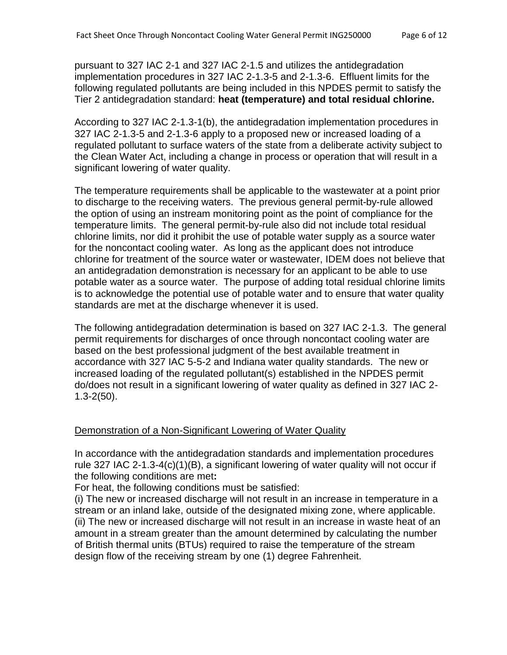pursuant to 327 IAC 2-1 and 327 IAC 2-1.5 and utilizes the antidegradation implementation procedures in 327 IAC 2-1.3-5 and 2-1.3-6. Effluent limits for the following regulated pollutants are being included in this NPDES permit to satisfy the Tier 2 antidegradation standard: **heat (temperature) and total residual chlorine.**

According to 327 IAC 2-1.3-1(b), the antidegradation implementation procedures in 327 IAC 2-1.3-5 and 2-1.3-6 apply to a proposed new or increased loading of a regulated pollutant to surface waters of the state from a deliberate activity subject to the Clean Water Act, including a change in process or operation that will result in a significant lowering of water quality.

The temperature requirements shall be applicable to the wastewater at a point prior to discharge to the receiving waters. The previous general permit-by-rule allowed the option of using an instream monitoring point as the point of compliance for the temperature limits. The general permit-by-rule also did not include total residual chlorine limits, nor did it prohibit the use of potable water supply as a source water for the noncontact cooling water. As long as the applicant does not introduce chlorine for treatment of the source water or wastewater, IDEM does not believe that an antidegradation demonstration is necessary for an applicant to be able to use potable water as a source water. The purpose of adding total residual chlorine limits is to acknowledge the potential use of potable water and to ensure that water quality standards are met at the discharge whenever it is used.

The following antidegradation determination is based on 327 IAC 2-1.3. The general permit requirements for discharges of once through noncontact cooling water are based on the best professional judgment of the best available treatment in accordance with 327 IAC 5-5-2 and Indiana water quality standards. The new or increased loading of the regulated pollutant(s) established in the NPDES permit do/does not result in a significant lowering of water quality as defined in 327 IAC 2- 1.3-2(50).

#### Demonstration of a Non-Significant Lowering of Water Quality

In accordance with the antidegradation standards and implementation procedures rule 327 IAC 2-1.3-4(c)(1)(B), a significant lowering of water quality will not occur if the following conditions are met**:**

For heat, the following conditions must be satisfied:

(i) The new or increased discharge will not result in an increase in temperature in a stream or an inland lake, outside of the designated mixing zone, where applicable. (ii) The new or increased discharge will not result in an increase in waste heat of an amount in a stream greater than the amount determined by calculating the number of British thermal units (BTUs) required to raise the temperature of the stream design flow of the receiving stream by one (1) degree Fahrenheit.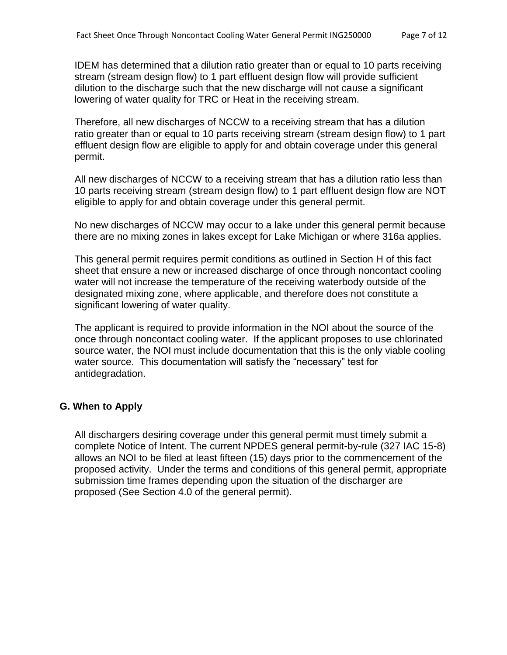IDEM has determined that a dilution ratio greater than or equal to 10 parts receiving stream (stream design flow) to 1 part effluent design flow will provide sufficient dilution to the discharge such that the new discharge will not cause a significant lowering of water quality for TRC or Heat in the receiving stream.

Therefore, all new discharges of NCCW to a receiving stream that has a dilution ratio greater than or equal to 10 parts receiving stream (stream design flow) to 1 part effluent design flow are eligible to apply for and obtain coverage under this general permit.

All new discharges of NCCW to a receiving stream that has a dilution ratio less than 10 parts receiving stream (stream design flow) to 1 part effluent design flow are NOT eligible to apply for and obtain coverage under this general permit.

No new discharges of NCCW may occur to a lake under this general permit because there are no mixing zones in lakes except for Lake Michigan or where 316a applies.

This general permit requires permit conditions as outlined in Section H of this fact sheet that ensure a new or increased discharge of once through noncontact cooling water will not increase the temperature of the receiving waterbody outside of the designated mixing zone, where applicable, and therefore does not constitute a significant lowering of water quality.

The applicant is required to provide information in the NOI about the source of the once through noncontact cooling water. If the applicant proposes to use chlorinated source water, the NOI must include documentation that this is the only viable cooling water source. This documentation will satisfy the "necessary" test for antidegradation.

#### **G. When to Apply**

All dischargers desiring coverage under this general permit must timely submit a complete Notice of Intent. The current NPDES general permit-by-rule (327 IAC 15-8) allows an NOI to be filed at least fifteen (15) days prior to the commencement of the proposed activity. Under the terms and conditions of this general permit, appropriate submission time frames depending upon the situation of the discharger are proposed (See Section 4.0 of the general permit).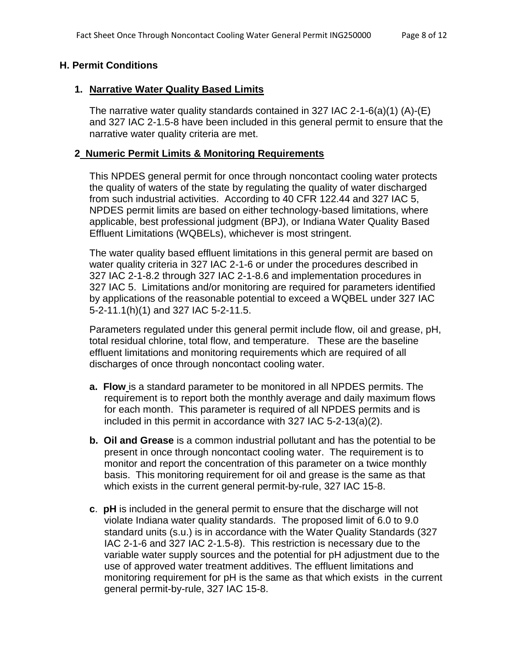### **H. Permit Conditions**

#### **1. Narrative Water Quality Based Limits**

The narrative water quality standards contained in 327 IAC 2-1-6(a)(1) (A)-(E) and 327 IAC 2-1.5-8 have been included in this general permit to ensure that the narrative water quality criteria are met.

### **2 Numeric Permit Limits & Monitoring Requirements**

This NPDES general permit for once through noncontact cooling water protects the quality of waters of the state by regulating the quality of water discharged from such industrial activities. According to 40 CFR 122.44 and 327 IAC 5, NPDES permit limits are based on either technology-based limitations, where applicable, best professional judgment (BPJ), or Indiana Water Quality Based Effluent Limitations (WQBELs), whichever is most stringent.

The water quality based effluent limitations in this general permit are based on water quality criteria in 327 IAC 2-1-6 or under the procedures described in 327 IAC 2-1-8.2 through 327 IAC 2-1-8.6 and implementation procedures in 327 IAC 5. Limitations and/or monitoring are required for parameters identified by applications of the reasonable potential to exceed a WQBEL under 327 IAC 5-2-11.1(h)(1) and 327 IAC 5-2-11.5.

Parameters regulated under this general permit include flow, oil and grease, pH, total residual chlorine, total flow, and temperature. These are the baseline effluent limitations and monitoring requirements which are required of all discharges of once through noncontact cooling water.

- **a. Flow** is a standard parameter to be monitored in all NPDES permits. The requirement is to report both the monthly average and daily maximum flows for each month. This parameter is required of all NPDES permits and is included in this permit in accordance with 327 IAC 5-2-13(a)(2).
- **b. Oil and Grease** is a common industrial pollutant and has the potential to be present in once through noncontact cooling water. The requirement is to monitor and report the concentration of this parameter on a twice monthly basis. This monitoring requirement for oil and grease is the same as that which exists in the current general permit-by-rule, 327 IAC 15-8.
- **c**. **pH** is included in the general permit to ensure that the discharge will not violate Indiana water quality standards. The proposed limit of 6.0 to 9.0 standard units (s.u.) is in accordance with the Water Quality Standards (327 IAC 2-1-6 and 327 IAC 2-1.5-8). This restriction is necessary due to the variable water supply sources and the potential for pH adjustment due to the use of approved water treatment additives. The effluent limitations and monitoring requirement for pH is the same as that which exists in the current general permit-by-rule, 327 IAC 15-8.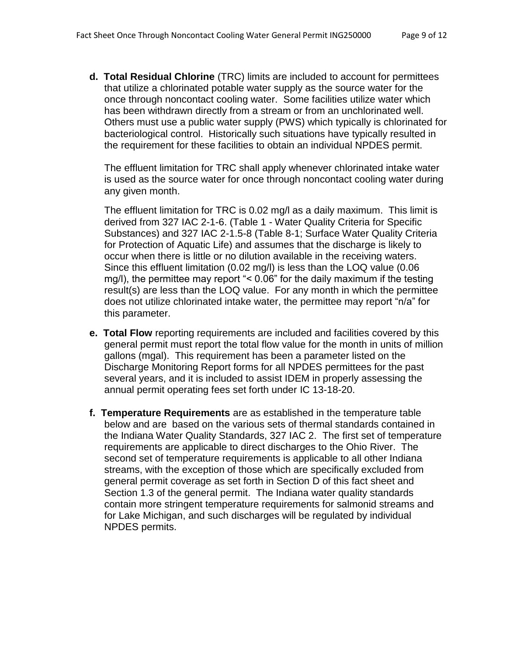**d. Total Residual Chlorine** (TRC) limits are included to account for permittees that utilize a chlorinated potable water supply as the source water for the once through noncontact cooling water. Some facilities utilize water which has been withdrawn directly from a stream or from an unchlorinated well. Others must use a public water supply (PWS) which typically is chlorinated for bacteriological control. Historically such situations have typically resulted in the requirement for these facilities to obtain an individual NPDES permit.

The effluent limitation for TRC shall apply whenever chlorinated intake water is used as the source water for once through noncontact cooling water during any given month.

The effluent limitation for TRC is 0.02 mg/l as a daily maximum. This limit is derived from 327 IAC 2-1-6. (Table 1 - Water Quality Criteria for Specific Substances) and 327 IAC 2-1.5-8 (Table 8-1; Surface Water Quality Criteria for Protection of Aquatic Life) and assumes that the discharge is likely to occur when there is little or no dilution available in the receiving waters. Since this effluent limitation (0.02 mg/l) is less than the LOQ value (0.06 mg/l), the permittee may report "< 0.06" for the daily maximum if the testing result(s) are less than the LOQ value. For any month in which the permittee does not utilize chlorinated intake water, the permittee may report "n/a" for this parameter.

- **e. Total Flow** reporting requirements are included and facilities covered by this general permit must report the total flow value for the month in units of million gallons (mgal). This requirement has been a parameter listed on the Discharge Monitoring Report forms for all NPDES permittees for the past several years, and it is included to assist IDEM in properly assessing the annual permit operating fees set forth under IC 13-18-20.
- **f. Temperature Requirements** are as established in the temperature table below and are based on the various sets of thermal standards contained in the Indiana Water Quality Standards, 327 IAC 2. The first set of temperature requirements are applicable to direct discharges to the Ohio River. The second set of temperature requirements is applicable to all other Indiana streams, with the exception of those which are specifically excluded from general permit coverage as set forth in Section D of this fact sheet and Section 1.3 of the general permit. The Indiana water quality standards contain more stringent temperature requirements for salmonid streams and for Lake Michigan, and such discharges will be regulated by individual NPDES permits.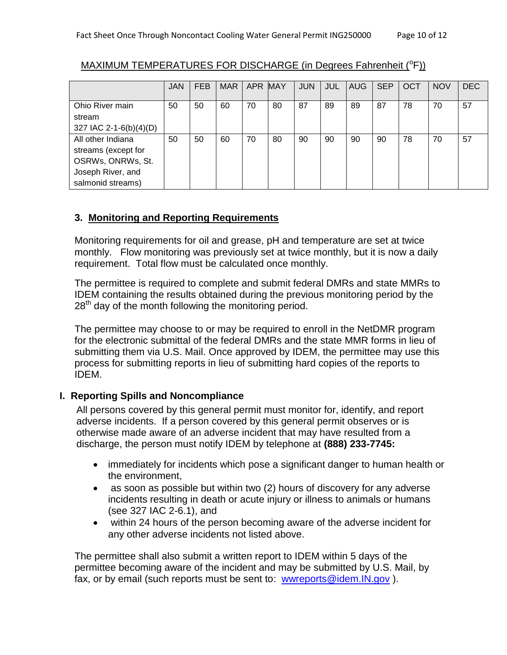|                        | <b>JAN</b> | <b>FEB</b> | <b>MAR</b> | APR MAY |    | <b>JUN</b> | JUL | <b>AUG</b> | <b>SEP</b> | <b>OCT</b> | <b>NOV</b> | <b>DEC</b> |
|------------------------|------------|------------|------------|---------|----|------------|-----|------------|------------|------------|------------|------------|
| Ohio River main        | 50         | 50         | 60         | 70      | 80 | 87         | 89  | 89         | 87         | 78         | 70         | 57         |
| stream                 |            |            |            |         |    |            |     |            |            |            |            |            |
| 327 IAC 2-1-6(b)(4)(D) |            |            |            |         |    |            |     |            |            |            |            |            |
| All other Indiana      | 50         | 50         | 60         | 70      | 80 | 90         | 90  | 90         | 90         | 78         | 70         | 57         |
| streams (except for    |            |            |            |         |    |            |     |            |            |            |            |            |
| OSRWs, ONRWs, St.      |            |            |            |         |    |            |     |            |            |            |            |            |
| Joseph River, and      |            |            |            |         |    |            |     |            |            |            |            |            |
| salmonid streams)      |            |            |            |         |    |            |     |            |            |            |            |            |

# MAXIMUM TEMPERATURES FOR DISCHARGE (in Degrees Fahrenheit (°F))

## **3. Monitoring and Reporting Requirements**

Monitoring requirements for oil and grease, pH and temperature are set at twice monthly. Flow monitoring was previously set at twice monthly, but it is now a daily requirement. Total flow must be calculated once monthly.

The permittee is required to complete and submit federal DMRs and state MMRs to IDEM containing the results obtained during the previous monitoring period by the 28<sup>th</sup> day of the month following the monitoring period.

The permittee may choose to or may be required to enroll in the NetDMR program for the electronic submittal of the federal DMRs and the state MMR forms in lieu of submitting them via U.S. Mail. Once approved by IDEM, the permittee may use this process for submitting reports in lieu of submitting hard copies of the reports to IDEM.

## **I. Reporting Spills and Noncompliance**

All persons covered by this general permit must monitor for, identify, and report adverse incidents. If a person covered by this general permit observes or is otherwise made aware of an adverse incident that may have resulted from a discharge, the person must notify IDEM by telephone at **(888) 233-7745:**

- immediately for incidents which pose a significant danger to human health or the environment,
- as soon as possible but within two (2) hours of discovery for any adverse incidents resulting in death or acute injury or illness to animals or humans (see 327 IAC 2-6.1), and
- within 24 hours of the person becoming aware of the adverse incident for any other adverse incidents not listed above.

The permittee shall also submit a written report to IDEM within 5 days of the permittee becoming aware of the incident and may be submitted by U.S. Mail, by fax, or by email (such reports must be sent to: [wwreports@idem.IN.gov](mailto:wwreports@idem.IN.gov) ).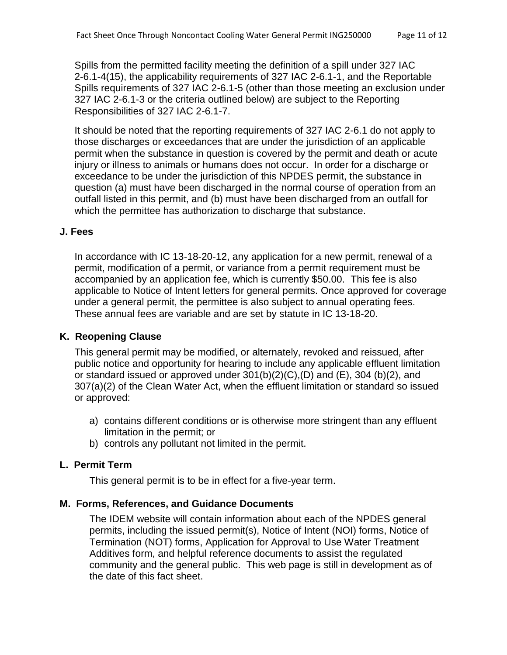Spills from the permitted facility meeting the definition of a spill under 327 IAC 2-6.1-4(15), the applicability requirements of 327 IAC 2-6.1-1, and the Reportable Spills requirements of 327 IAC 2-6.1-5 (other than those meeting an exclusion under 327 IAC 2-6.1-3 or the criteria outlined below) are subject to the Reporting Responsibilities of 327 IAC 2-6.1-7.

It should be noted that the reporting requirements of 327 IAC 2-6.1 do not apply to those discharges or exceedances that are under the jurisdiction of an applicable permit when the substance in question is covered by the permit and death or acute injury or illness to animals or humans does not occur. In order for a discharge or exceedance to be under the jurisdiction of this NPDES permit, the substance in question (a) must have been discharged in the normal course of operation from an outfall listed in this permit, and (b) must have been discharged from an outfall for which the permittee has authorization to discharge that substance.

### **J. Fees**

In accordance with IC 13-18-20-12, any application for a new permit, renewal of a permit, modification of a permit, or variance from a permit requirement must be accompanied by an application fee, which is currently \$50.00. This fee is also applicable to Notice of Intent letters for general permits. Once approved for coverage under a general permit, the permittee is also subject to annual operating fees. These annual fees are variable and are set by statute in IC 13-18-20.

## **K. Reopening Clause**

This general permit may be modified, or alternately, revoked and reissued, after public notice and opportunity for hearing to include any applicable effluent limitation or standard issued or approved under  $301(b)(2)(C)$ ,  $(D)$  and  $(E)$ , 304  $(b)(2)$ , and 307(a)(2) of the Clean Water Act, when the effluent limitation or standard so issued or approved:

- a) contains different conditions or is otherwise more stringent than any effluent limitation in the permit; or
- b) controls any pollutant not limited in the permit.

## **L. Permit Term**

This general permit is to be in effect for a five-year term.

## **M. Forms, References, and Guidance Documents**

The IDEM website will contain information about each of the NPDES general permits, including the issued permit(s), Notice of Intent (NOI) forms, Notice of Termination (NOT) forms, Application for Approval to Use Water Treatment Additives form, and helpful reference documents to assist the regulated community and the general public. This web page is still in development as of the date of this fact sheet.